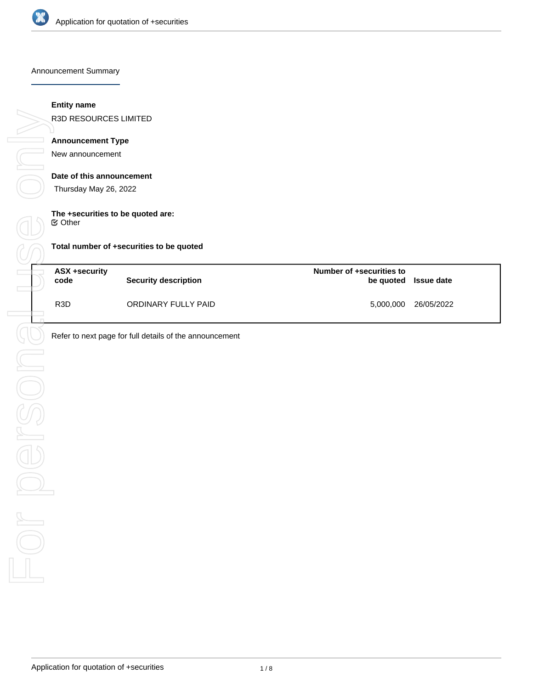

Announcement Summary

#### **Entity name**

R3D RESOURCES LIMITED

## **Announcement Type**

New announcement

#### **Date of this announcement**

Thursday May 26, 2022

# **The +securities to be quoted are:**

 $⊜$  Other

**Total number of +securities to be quoted**

| ASX +security<br>code | <b>Security description</b> | Number of +securities to | be quoted Issue date |
|-----------------------|-----------------------------|--------------------------|----------------------|
| R <sub>3</sub> D      | ORDINARY FULLY PAID         | 5.000.000                | 26/05/2022           |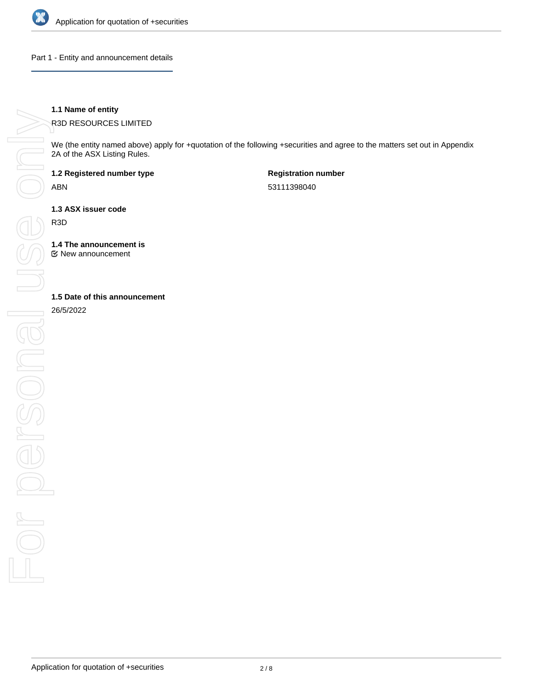

Part 1 - Entity and announcement details

# **1.1 Name of entity**

R3D RESOURCES LIMITED

We (the entity named above) apply for +quotation of the following +securities and agree to the matters set out in Appendix 2A of the ASX Listing Rules.

**1.2 Registered number type**

ABN

**Registration number** 53111398040

**1.3 ASX issuer code**

R3D

**1.4 The announcement is**

New announcement

26/5/2022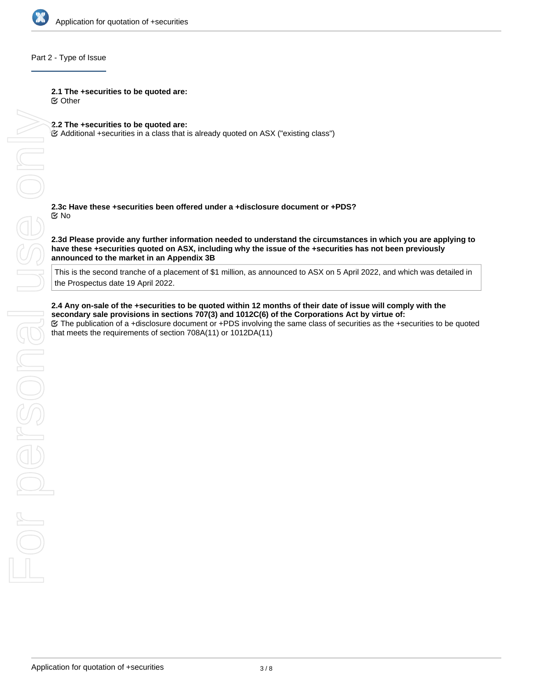

#### Part 2 - Type of Issue

**2.1 The +securities to be quoted are:**

 $⊜$  Other

**2.2 The +securities to be quoted are:**

Additional +securities in a class that is already quoted on ASX ("existing class")

#### **2.3c Have these +securities been offered under a +disclosure document or +PDS?** No

**2.3d Please provide any further information needed to understand the circumstances in which you are applying to have these +securities quoted on ASX, including why the issue of the +securities has not been previously announced to the market in an Appendix 3B**

This is the second tranche of a placement of \$1 million, as announced to ASX on 5 April 2022, and which was detailed in the Prospectus date 19 April 2022.

**2.4 Any on-sale of the +securities to be quoted within 12 months of their date of issue will comply with the secondary sale provisions in sections 707(3) and 1012C(6) of the Corporations Act by virtue of:**  $\heartsuit$  The publication of a +disclosure document or +PDS involving the same class of securities as the +securities to be quoted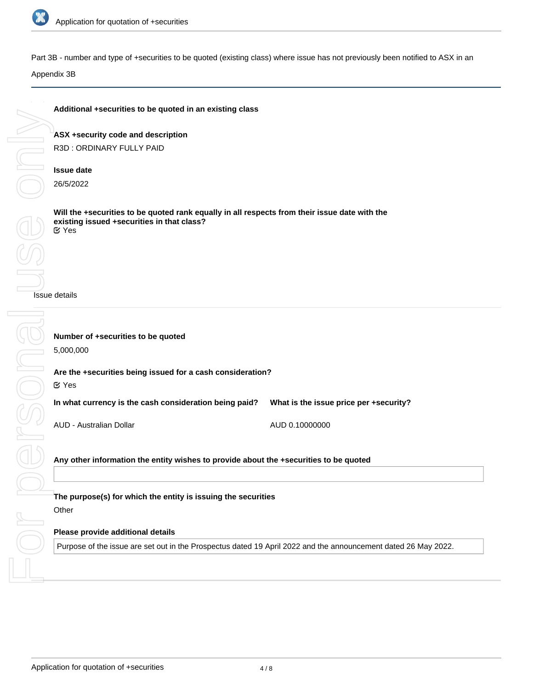

Part 3B - number and type of +securities to be quoted (existing class) where issue has not previously been notified to ASX in an

Appendix 3B

# For personal Jeuse only On **Issue date** 26/5/2022 Yes Issue details 5,000,000 Yes Other

# **Additional +securities to be quoted in an existing class**

**ASX +security code and description** R3D : ORDINARY FULLY PAID

**Will the +securities to be quoted rank equally in all respects from their issue date with the existing issued +securities in that class?**

| Number of +securities to be quoted<br>5,000,000                                                                |                                        |  |  |  |
|----------------------------------------------------------------------------------------------------------------|----------------------------------------|--|--|--|
| Are the +securities being issued for a cash consideration?<br>$\mathfrak{C}$ Yes                               |                                        |  |  |  |
| In what currency is the cash consideration being paid?                                                         | What is the issue price per +security? |  |  |  |
| AUD - Australian Dollar                                                                                        | AUD 0.10000000                         |  |  |  |
| Any other information the entity wishes to provide about the +securities to be quoted                          |                                        |  |  |  |
| The purpose(s) for which the entity is issuing the securities<br>Other                                         |                                        |  |  |  |
| Please provide additional details                                                                              |                                        |  |  |  |
| Purpose of the issue are set out in the Prospectus dated 19 April 2022 and the announcement dated 26 May 2022. |                                        |  |  |  |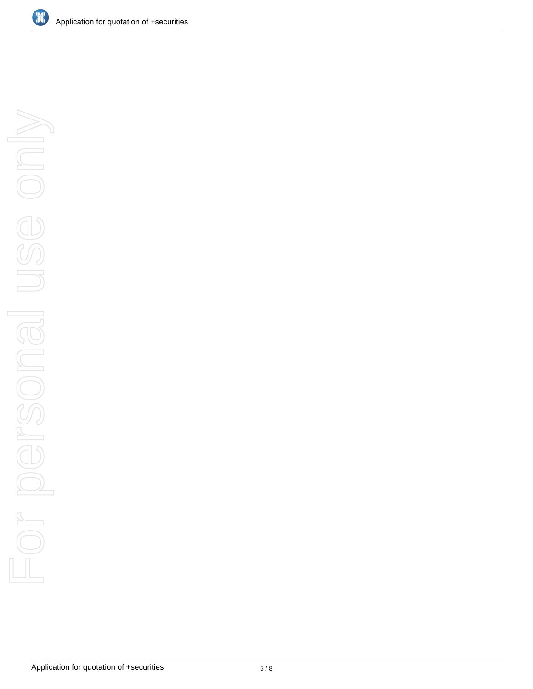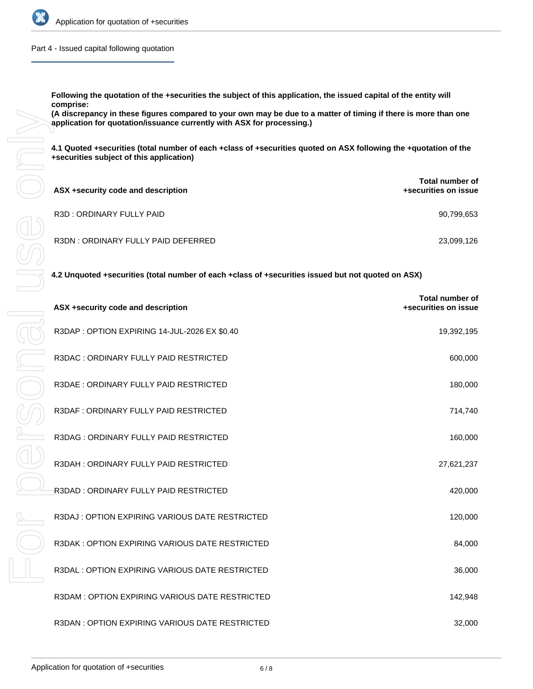

Part 4 - Issued capital following quotation

**Following the quotation of the +securities the subject of this application, the issued capital of the entity will comprise:**

**(A discrepancy in these figures compared to your own may be due to a matter of timing if there is more than one application for quotation/issuance currently with ASX for processing.)**

**4.1 Quoted +securities (total number of each +class of +securities quoted on ASX following the +quotation of the +securities subject of this application)**

| ASX +security code and description  | <b>Total number of</b><br>+securities on issue |
|-------------------------------------|------------------------------------------------|
| R3D : ORDINARY FULLY PAID           | 90,799,653                                     |
| R3DN : ORDINARY FULLY PAID DEFERRED | 23,099,126                                     |

#### **4.2 Unquoted +securities (total number of each +class of +securities issued but not quoted on ASX)**

| ASX +security code and description             | <b>Total number of</b><br>+securities on issue |
|------------------------------------------------|------------------------------------------------|
| R3DAP : OPTION EXPIRING 14-JUL-2026 EX \$0.40  | 19,392,195                                     |
| R3DAC: ORDINARY FULLY PAID RESTRICTED          | 600,000                                        |
| R3DAE: ORDINARY FULLY PAID RESTRICTED          | 180,000                                        |
| R3DAF: ORDINARY FULLY PAID RESTRICTED          | 714,740                                        |
| R3DAG: ORDINARY FULLY PAID RESTRICTED          | 160,000                                        |
| R3DAH: ORDINARY FULLY PAID RESTRICTED          | 27,621,237                                     |
| R3DAD: ORDINARY FULLY PAID RESTRICTED          | 420,000                                        |
| R3DAJ: OPTION EXPIRING VARIOUS DATE RESTRICTED | 120,000                                        |
| R3DAK: OPTION EXPIRING VARIOUS DATE RESTRICTED | 84,000                                         |
| R3DAL: OPTION EXPIRING VARIOUS DATE RESTRICTED | 36,000                                         |
| R3DAM: OPTION EXPIRING VARIOUS DATE RESTRICTED | 142,948                                        |
| R3DAN: OPTION EXPIRING VARIOUS DATE RESTRICTED | 32,000                                         |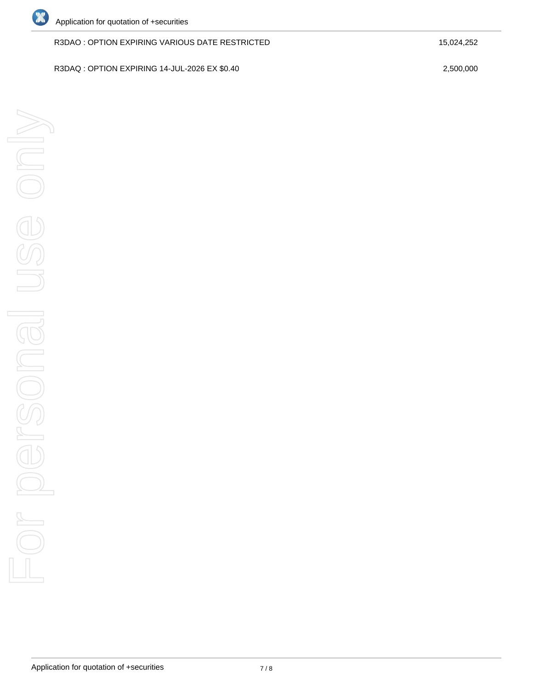

## R3DAO : OPTION EXPIRING VARIOUS DATE RESTRICTED 15,024,252

R3DAQ : OPTION EXPIRING 14-JUL-2026 EX \$0.40 2,500,000